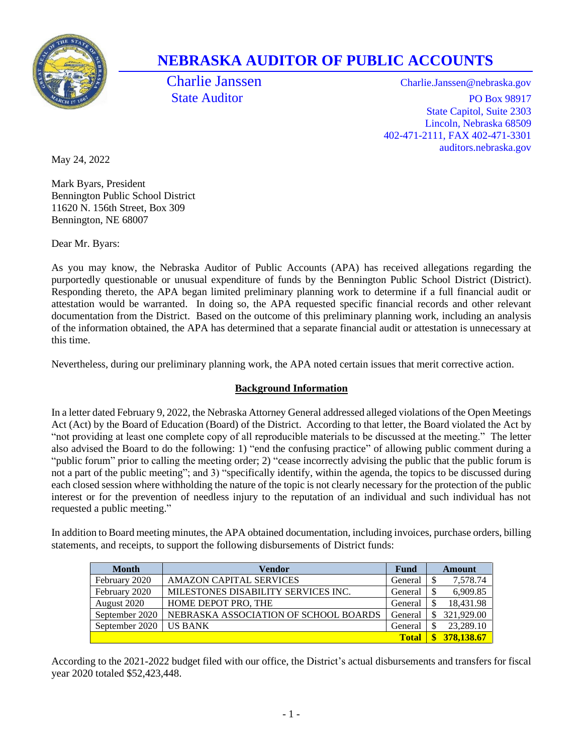

# **NEBRASKA AUDITOR OF PUBLIC ACCOUNTS**

Charlie Janssen Charlie.Janssen@nebraska.gov State Auditor PO Box 98917 State Capitol, Suite 2303 Lincoln, Nebraska 68509 402-471-2111, FAX 402-471-3301 auditors.nebraska.gov

May 24, 2022

Mark Byars, President Bennington Public School District 11620 N. 156th Street, Box 309 Bennington, NE 68007

Dear Mr. Byars:

As you may know, the Nebraska Auditor of Public Accounts (APA) has received allegations regarding the purportedly questionable or unusual expenditure of funds by the Bennington Public School District (District). Responding thereto, the APA began limited preliminary planning work to determine if a full financial audit or attestation would be warranted. In doing so, the APA requested specific financial records and other relevant documentation from the District. Based on the outcome of this preliminary planning work, including an analysis of the information obtained, the APA has determined that a separate financial audit or attestation is unnecessary at this time.

Nevertheless, during our preliminary planning work, the APA noted certain issues that merit corrective action.

## **Background Information**

In a letter dated February 9, 2022, the Nebraska Attorney General addressed alleged violations of the Open Meetings Act (Act) by the Board of Education (Board) of the District. According to that letter, the Board violated the Act by "not providing at least one complete copy of all reproducible materials to be discussed at the meeting." The letter also advised the Board to do the following: 1) "end the confusing practice" of allowing public comment during a "public forum" prior to calling the meeting order; 2) "cease incorrectly advising the public that the public forum is not a part of the public meeting"; and 3) "specifically identify, within the agenda, the topics to be discussed during each closed session where withholding the nature of the topic is not clearly necessary for the protection of the public interest or for the prevention of needless injury to the reputation of an individual and such individual has not requested a public meeting."

In addition to Board meeting minutes, the APA obtained documentation, including invoices, purchase orders, billing statements, and receipts, to support the following disbursements of District funds:

| <b>Month</b>   | Vendor                                | <b>Fund</b>  | Amount |            |
|----------------|---------------------------------------|--------------|--------|------------|
| February 2020  | <b>AMAZON CAPITAL SERVICES</b>        | General      |        | 7,578.74   |
| February 2020  | MILESTONES DISABILITY SERVICES INC.   | General      |        | 6,909.85   |
| August 2020    | HOME DEPOT PRO. THE                   | General      |        | 18,431.98  |
| September 2020 | NEBRASKA ASSOCIATION OF SCHOOL BOARDS | General      |        | 321,929.00 |
| September 2020 | <b>US BANK</b>                        | General      |        | 23,289.10  |
|                |                                       | <b>Total</b> |        | 378,138.67 |

According to the 2021-2022 budget filed with our office, the District's actual disbursements and transfers for fiscal year 2020 totaled \$52,423,448.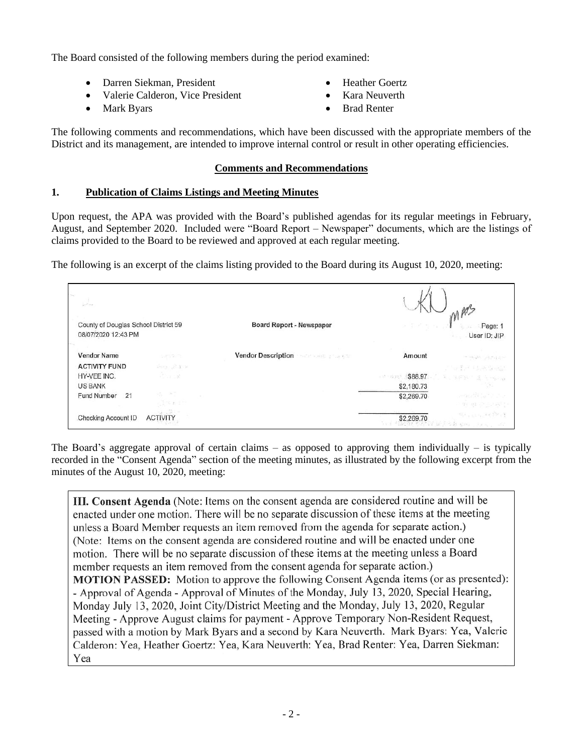The Board consisted of the following members during the period examined:

- Darren Siekman, President
- Valerie Calderon, Vice President
- Mark Byars
- **Heather Goertz**
- Kara Neuverth
- Brad Renter

The following comments and recommendations, which have been discussed with the appropriate members of the District and its management, are intended to improve internal control or result in other operating efficiencies.

### **Comments and Recommendations**

### **1. Publication of Claims Listings and Meeting Minutes**

Upon request, the APA was provided with the Board's published agendas for its regular meetings in February, August, and September 2020. Included were "Board Report – Newspaper" documents, which are the listings of claims provided to the Board to be reviewed and approved at each regular meeting.

The following is an excerpt of the claims listing provided to the Board during its August 10, 2020, meeting:

| County of Douglas School District 59<br>08/07/2020 12:43 PM |                                                                                                                                     | Board Report - Newspaper                       |                   | Page: 1<br>User ID: JIP                                                                                                                                                 |
|-------------------------------------------------------------|-------------------------------------------------------------------------------------------------------------------------------------|------------------------------------------------|-------------------|-------------------------------------------------------------------------------------------------------------------------------------------------------------------------|
|                                                             |                                                                                                                                     |                                                |                   |                                                                                                                                                                         |
| <b>Vendor Name</b>                                          | svers on                                                                                                                            | <b>Vendor Description</b><br>mite web a worker | Amount            | $\label{eq:4} \begin{array}{lll} \displaystyle \rightarrow & \displaystyle \cos \eta \, \delta \left(1-\rho^2\right) \, \mathcal{E} \left(1-\delta \right) \end{array}$ |
| <b>ACTIVITY FUND</b>                                        | $\label{eq:3.1} \frac{1}{2} \mathcal{H} \otimes_{\mathcal{H}^{\times}} \mathcal{H}^{\times} \mathcal{H}^{\times} \cong \mathcal{H}$ |                                                |                   | The Bart Charles of the                                                                                                                                                 |
| HY-VEE INC.                                                 | $\mathcal{L}_{\rm eff}$                                                                                                             |                                                | \$88.97<br>12,931 | 第1394条 1 3 mm                                                                                                                                                           |
| <b>US BANK</b>                                              |                                                                                                                                     |                                                | \$2,180.73        | 199                                                                                                                                                                     |
| Fund Number<br>21                                           | <b>PA 原</b>                                                                                                                         |                                                | \$2,269.70        | and the first state of the state                                                                                                                                        |
|                                                             | $-3.5 - 1.2$                                                                                                                        |                                                |                   | 一卷 单位 医病院                                                                                                                                                               |
| Checking Account ID                                         | $3 - 211$<br><b>ACTIVITY</b>                                                                                                        |                                                | \$2,269.70        | BL. LL. HOPEY<br>MAVIA A Branchan, and                                                                                                                                  |

The Board's aggregate approval of certain claims – as opposed to approving them individually – is typically recorded in the "Consent Agenda" section of the meeting minutes, as illustrated by the following excerpt from the minutes of the August 10, 2020, meeting:

III. Consent Agenda (Note: Items on the consent agenda are considered routine and will be enacted under one motion. There will be no separate discussion of these items at the meeting unless a Board Member requests an item removed from the agenda for separate action.) (Note: Items on the consent agenda are considered routine and will be enacted under one motion. There will be no separate discussion of these items at the meeting unless a Board member requests an item removed from the consent agenda for separate action.) **MOTION PASSED:** Motion to approve the following Consent Agenda items (or as presented): - Approval of Agenda - Approval of Minutes of the Monday, July 13, 2020, Special Hearing, Monday July 13, 2020, Joint City/District Meeting and the Monday, July 13, 2020, Regular Meeting - Approve August claims for payment - Approve Temporary Non-Resident Request, passed with a motion by Mark Byars and a second by Kara Neuverth. Mark Byars: Yea, Valerie Calderon: Yea, Heather Goertz: Yea, Kara Neuverth: Yea, Brad Renter: Yea, Darren Siekman: Yea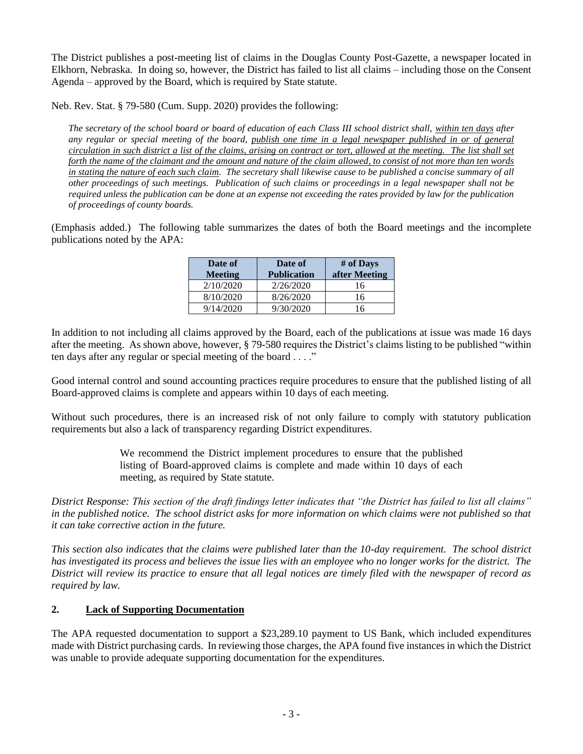The District publishes a post-meeting list of claims in the Douglas County Post-Gazette, a newspaper located in Elkhorn, Nebraska. In doing so, however, the District has failed to list all claims – including those on the Consent Agenda – approved by the Board, which is required by State statute.

Neb. Rev. Stat. § 79-580 (Cum. Supp. 2020) provides the following:

*The secretary of the school board or board of education of each Class III school district shall, within ten days after any regular or special meeting of the board, publish one time in a legal newspaper published in or of general circulation in such district a list of the claims, arising on contract or tort, allowed at the meeting. The list shall set forth the name of the claimant and the amount and nature of the claim allowed, to consist of not more than ten words in stating the nature of each such claim. The secretary shall likewise cause to be published a concise summary of all other proceedings of such meetings. Publication of such claims or proceedings in a legal newspaper shall not be required unless the publication can be done at an expense not exceeding the rates provided by law for the publication of proceedings of county boards.*

(Emphasis added.) The following table summarizes the dates of both the Board meetings and the incomplete publications noted by the APA:

| Date of<br><b>Meeting</b> | Date of<br><b>Publication</b> | # of Days<br>after Meeting |  |  |
|---------------------------|-------------------------------|----------------------------|--|--|
| 2/10/2020                 | 2/26/2020                     | 16                         |  |  |
| 8/10/2020                 | 8/26/2020                     | 16                         |  |  |
| 9/14/2020                 | 9/30/2020                     | 16                         |  |  |

In addition to not including all claims approved by the Board, each of the publications at issue was made 16 days after the meeting. As shown above, however, § 79-580 requires the District's claims listing to be published "within ten days after any regular or special meeting of the board . . . ."

Good internal control and sound accounting practices require procedures to ensure that the published listing of all Board-approved claims is complete and appears within 10 days of each meeting.

Without such procedures, there is an increased risk of not only failure to comply with statutory publication requirements but also a lack of transparency regarding District expenditures.

> We recommend the District implement procedures to ensure that the published listing of Board-approved claims is complete and made within 10 days of each meeting, as required by State statute.

*District Response: This section of the draft findings letter indicates that "the District has failed to list all claims"*  in the published notice. The school district asks for more information on which claims were not published so that *it can take corrective action in the future.*

*This section also indicates that the claims were published later than the 10-day requirement. The school district has investigated its process and believes the issue lies with an employee who no longer works for the district. The District will review its practice to ensure that all legal notices are timely filed with the newspaper of record as required by law.*

## **2. Lack of Supporting Documentation**

The APA requested documentation to support a \$23,289.10 payment to US Bank, which included expenditures made with District purchasing cards. In reviewing those charges, the APA found five instances in which the District was unable to provide adequate supporting documentation for the expenditures.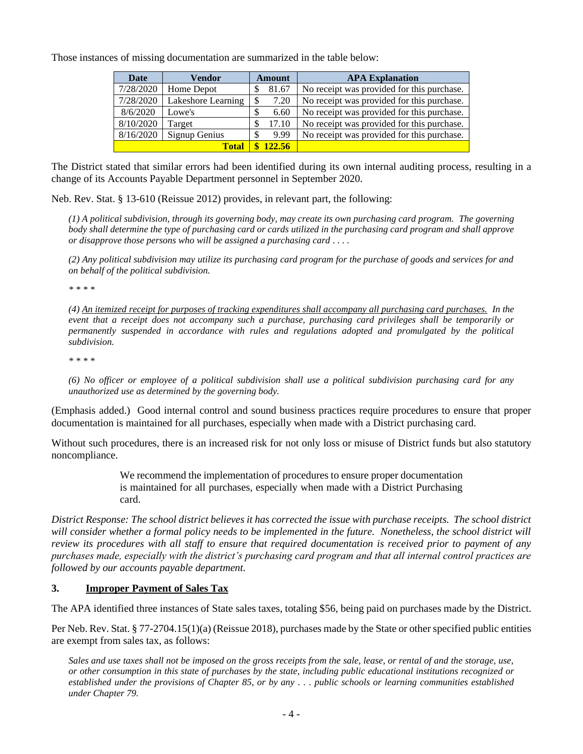Those instances of missing documentation are summarized in the table below:

| <b>Date</b> | Vendor             | <b>Amount</b> |        | <b>APA Explanation</b>                     |
|-------------|--------------------|---------------|--------|--------------------------------------------|
| 7/28/2020   | Home Depot         | Ъ.            | 81.67  | No receipt was provided for this purchase. |
| 7/28/2020   | Lakeshore Learning | S             | 7.20   | No receipt was provided for this purchase. |
| 8/6/2020    | Lowe's             | ъ             | 6.60   | No receipt was provided for this purchase. |
| 8/10/2020   | Target             |               | 17.10  | No receipt was provided for this purchase. |
| 8/16/2020   | Signup Genius      |               | 9.99   | No receipt was provided for this purchase. |
|             | <b>Total</b>       |               | 122.56 |                                            |

The District stated that similar errors had been identified during its own internal auditing process, resulting in a change of its Accounts Payable Department personnel in September 2020.

Neb. Rev. Stat. § 13-610 (Reissue 2012) provides, in relevant part, the following:

*(1) A political subdivision, through its governing body, may create its own purchasing card program. The governing body shall determine the type of purchasing card or cards utilized in the purchasing card program and shall approve or disapprove those persons who will be assigned a purchasing card . . . .*

*(2) Any political subdivision may utilize its purchasing card program for the purchase of goods and services for and on behalf of the political subdivision.*

*\* \* \* \**

*(4) An itemized receipt for purposes of tracking expenditures shall accompany all purchasing card purchases. In the event that a receipt does not accompany such a purchase, purchasing card privileges shall be temporarily or permanently suspended in accordance with rules and regulations adopted and promulgated by the political subdivision.*

*\* \* \* \**

*(6) No officer or employee of a political subdivision shall use a political subdivision purchasing card for any unauthorized use as determined by the governing body.* 

(Emphasis added.) Good internal control and sound business practices require procedures to ensure that proper documentation is maintained for all purchases, especially when made with a District purchasing card.

Without such procedures, there is an increased risk for not only loss or misuse of District funds but also statutory noncompliance.

> We recommend the implementation of procedures to ensure proper documentation is maintained for all purchases, especially when made with a District Purchasing card.

*District Response: The school district believes it has corrected the issue with purchase receipts. The school district*  will consider whether a formal policy needs to be implemented in the future. Nonetheless, the school district will *review its procedures with all staff to ensure that required documentation is received prior to payment of any purchases made, especially with the district's purchasing card program and that all internal control practices are followed by our accounts payable department.*

## **3. Improper Payment of Sales Tax**

The APA identified three instances of State sales taxes, totaling \$56, being paid on purchases made by the District.

Per Neb. Rev. Stat. § 77-2704.15(1)(a) (Reissue 2018), purchases made by the State or other specified public entities are exempt from sales tax, as follows:

*Sales and use taxes shall not be imposed on the gross receipts from the sale, lease, or rental of and the storage, use, or other consumption in this state of purchases by the state, including public educational institutions recognized or established under the provisions of Chapter 85, or by any . . . public schools or learning communities established under Chapter 79.*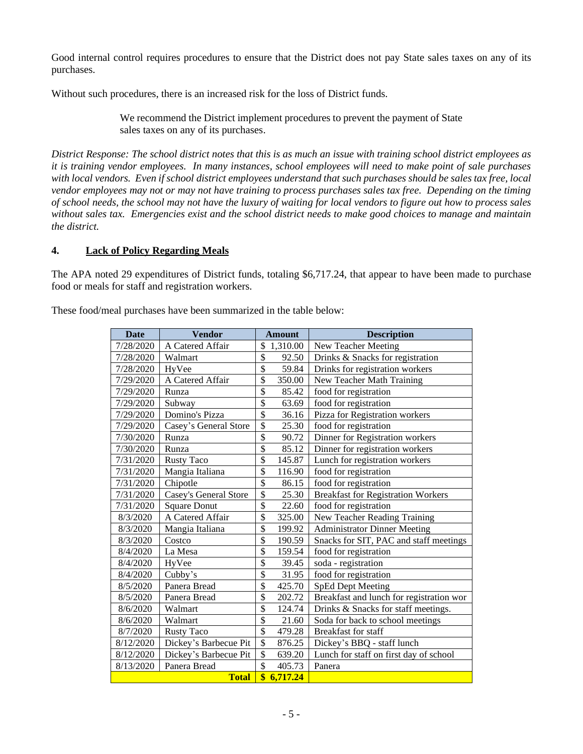Good internal control requires procedures to ensure that the District does not pay State sales taxes on any of its purchases.

Without such procedures, there is an increased risk for the loss of District funds.

We recommend the District implement procedures to prevent the payment of State sales taxes on any of its purchases.

*District Response: The school district notes that this is as much an issue with training school district employees as it is training vendor employees. In many instances, school employees will need to make point of sale purchases with local vendors. Even if school district employees understand that such purchases should be sales tax free, local vendor employees may not or may not have training to process purchases sales tax free. Depending on the timing of school needs, the school may not have the luxury of waiting for local vendors to figure out how to process sales without sales tax. Emergencies exist and the school district needs to make good choices to manage and maintain the district.*

#### **4. Lack of Policy Regarding Meals**

The APA noted 29 expenditures of District funds, totaling \$6,717.24, that appear to have been made to purchase food or meals for staff and registration workers.

These food/meal purchases have been summarized in the table below:

| <b>Date</b> | <b>Vendor</b>         |                          | <b>Amount</b> | <b>Description</b>                        |
|-------------|-----------------------|--------------------------|---------------|-------------------------------------------|
| 7/28/2020   | A Catered Affair      | \$                       | 1,310.00      | New Teacher Meeting                       |
| 7/28/2020   | Walmart               | \$                       | 92.50         | Drinks & Snacks for registration          |
| 7/28/2020   | HyVee                 | \$                       | 59.84         | Drinks for registration workers           |
| 7/29/2020   | A Catered Affair      | \$                       | 350.00        | New Teacher Math Training                 |
| 7/29/2020   | Runza                 | \$                       | 85.42         | food for registration                     |
| 7/29/2020   | Subway                | $\overline{\mathcal{S}}$ | 63.69         | food for registration                     |
| 7/29/2020   | Domino's Pizza        | $\overline{\$}$          | 36.16         | Pizza for Registration workers            |
| 7/29/2020   | Casey's General Store | $\overline{\$}$          | 25.30         | food for registration                     |
| 7/30/2020   | Runza                 | \$                       | 90.72         | Dinner for Registration workers           |
| 7/30/2020   | Runza                 | $\overline{\mathcal{S}}$ | 85.12         | Dinner for registration workers           |
| 7/31/2020   | <b>Rusty Taco</b>     | \$                       | 145.87        | Lunch for registration workers            |
| 7/31/2020   | Mangia Italiana       | \$                       | 116.90        | food for registration                     |
| 7/31/2020   | Chipotle              | $\overline{\$}$          | 86.15         | food for registration                     |
| 7/31/2020   | Casey's General Store | \$                       | 25.30         | <b>Breakfast for Registration Workers</b> |
| 7/31/2020   | <b>Square Donut</b>   | $\overline{\$}$          | 22.60         | food for registration                     |
| 8/3/2020    | A Catered Affair      | \$                       | 325.00        | New Teacher Reading Training              |
| 8/3/2020    | Mangia Italiana       | \$                       | 199.92        | <b>Administrator Dinner Meeting</b>       |
| 8/3/2020    | Costco                | \$                       | 190.59        | Snacks for SIT, PAC and staff meetings    |
| 8/4/2020    | La Mesa               | \$                       | 159.54        | food for registration                     |
| 8/4/2020    | HyVee                 | $\overline{\mathcal{S}}$ | 39.45         | soda - registration                       |
| 8/4/2020    | Cubby's               | \$                       | 31.95         | food for registration                     |
| 8/5/2020    | Panera Bread          | \$                       | 425.70        | <b>SpEd Dept Meeting</b>                  |
| 8/5/2020    | Panera Bread          | \$                       | 202.72        | Breakfast and lunch for registration wor  |
| 8/6/2020    | Walmart               | \$                       | 124.74        | Drinks & Snacks for staff meetings.       |
| 8/6/2020    | Walmart               | $\overline{\$}$          | 21.60         | Soda for back to school meetings          |
| 8/7/2020    | Rusty Taco            | $\overline{\mathcal{S}}$ | 479.28        | <b>Breakfast for staff</b>                |
| 8/12/2020   | Dickey's Barbecue Pit | \$                       | 876.25        | Dickey's BBQ - staff lunch                |
| 8/12/2020   | Dickey's Barbecue Pit | $\overline{\mathcal{S}}$ | 639.20        | Lunch for staff on first day of school    |
| 8/13/2020   | Panera Bread          | \$                       | 405.73        | Panera                                    |
|             | <b>Total</b>          | $\overline{\mathbf{s}}$  | 6,717.24      |                                           |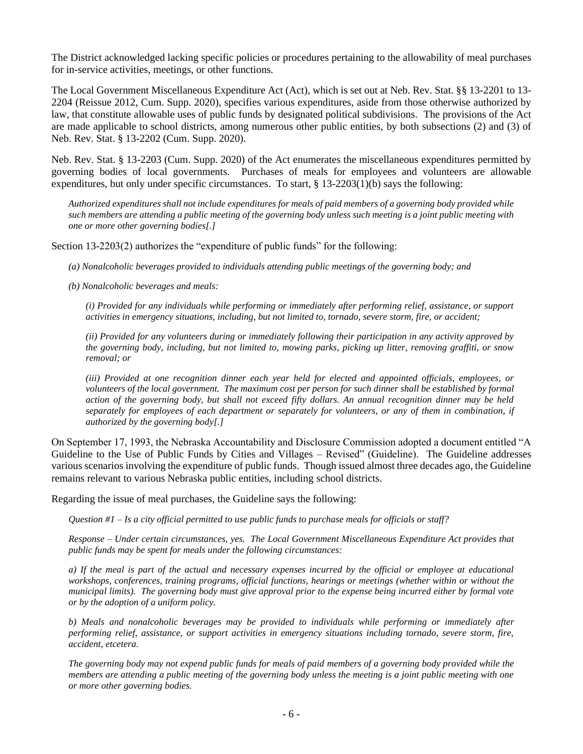The District acknowledged lacking specific policies or procedures pertaining to the allowability of meal purchases for in-service activities, meetings, or other functions.

The Local Government Miscellaneous Expenditure Act (Act), which is set out at Neb. Rev. Stat. §§ 13-2201 to 13- 2204 (Reissue 2012, Cum. Supp. 2020), specifies various expenditures, aside from those otherwise authorized by law, that constitute allowable uses of public funds by designated political subdivisions. The provisions of the Act are made applicable to school districts, among numerous other public entities, by both subsections (2) and (3) of Neb. Rev. Stat. § 13-2202 (Cum. Supp. 2020).

Neb. Rev. Stat. § 13-2203 (Cum. Supp. 2020) of the Act enumerates the miscellaneous expenditures permitted by governing bodies of local governments. Purchases of meals for employees and volunteers are allowable expenditures, but only under specific circumstances. To start,  $\S$  13-2203(1)(b) says the following:

*Authorized expenditures shall not include expenditures for meals of paid members of a governing body provided while such members are attending a public meeting of the governing body unless such meeting is a joint public meeting with one or more other governing bodies[.]*

Section 13-2203(2) authorizes the "expenditure of public funds" for the following:

*(a) Nonalcoholic beverages provided to individuals attending public meetings of the governing body; and*

*(b) Nonalcoholic beverages and meals:*

*(i) Provided for any individuals while performing or immediately after performing relief, assistance, or support activities in emergency situations, including, but not limited to, tornado, severe storm, fire, or accident;*

*(ii) Provided for any volunteers during or immediately following their participation in any activity approved by the governing body, including, but not limited to, mowing parks, picking up litter, removing graffiti, or snow removal; or*

*(iii) Provided at one recognition dinner each year held for elected and appointed officials, employees, or volunteers of the local government. The maximum cost per person for such dinner shall be established by formal action of the governing body, but shall not exceed fifty dollars. An annual recognition dinner may be held separately for employees of each department or separately for volunteers, or any of them in combination, if authorized by the governing body[.]*

On September 17, 1993, the Nebraska Accountability and Disclosure Commission adopted a document entitled "A Guideline to the Use of Public Funds by Cities and Villages – Revised" (Guideline). The Guideline addresses various scenarios involving the expenditure of public funds. Though issued almost three decades ago, the Guideline remains relevant to various Nebraska public entities, including school districts.

Regarding the issue of meal purchases, the Guideline says the following:

*Question #1 – Is a city official permitted to use public funds to purchase meals for officials or staff?*

*Response – Under certain circumstances, yes. The Local Government Miscellaneous Expenditure Act provides that public funds may be spent for meals under the following circumstances:*

*a) If the meal is part of the actual and necessary expenses incurred by the official or employee at educational workshops, conferences, training programs, official functions, hearings or meetings (whether within or without the municipal limits). The governing body must give approval prior to the expense being incurred either by formal vote or by the adoption of a uniform policy.*

*b) Meals and nonalcoholic beverages may be provided to individuals while performing or immediately after performing relief, assistance, or support activities in emergency situations including tornado, severe storm, fire, accident, etcetera.*

*The governing body may not expend public funds for meals of paid members of a governing body provided while the members are attending a public meeting of the governing body unless the meeting is a joint public meeting with one or more other governing bodies.*